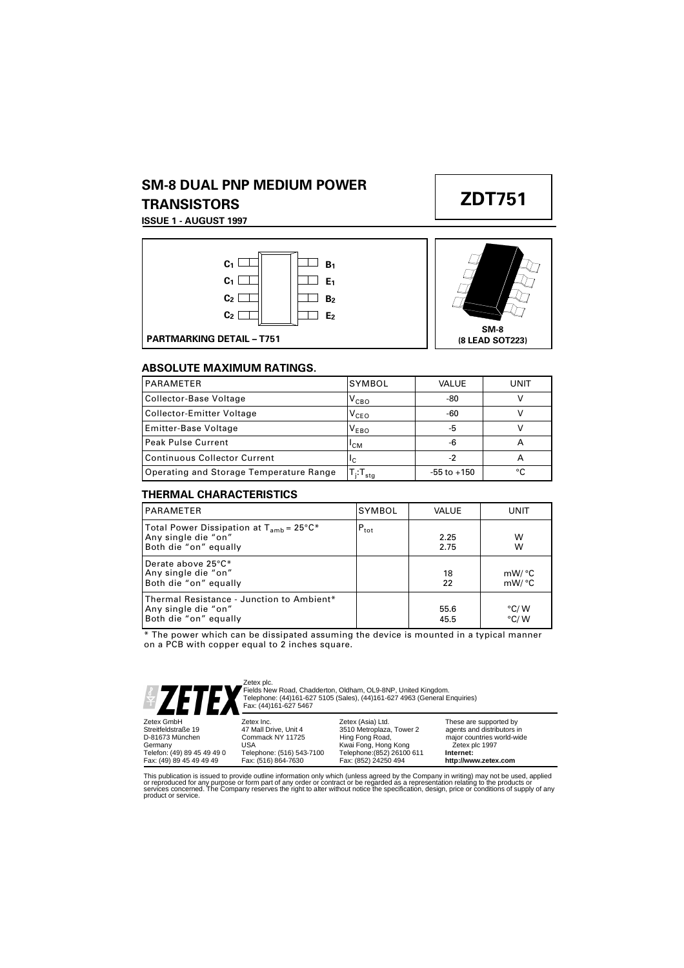## **SM-8 DUAL PNP MEDIUM POWER TRANSISTORS**

**ISSUE 1 - AUGUST 1997**





**ZDT751**



### **ABSOLUTE MAXIMUM RATINGS.**

| <b>PARAMETER</b>                        | SYMBOL               | VALUE           | UNIT |
|-----------------------------------------|----------------------|-----------------|------|
| Collector-Base Voltage                  | $V_{CBO}$            | -80             |      |
| Collector-Emitter Voltage               | $V_{CEO}$            | -60             |      |
| <b>Emitter-Base Voltage</b>             | $V_{EBO}$            | -5              |      |
| <b>Peak Pulse Current</b>               | <sup>I</sup> CM      | -6              |      |
| <b>Continuous Collector Current</b>     | ΙC                   | -2              |      |
| Operating and Storage Temperature Range | $f_i:T_{\text{stg}}$ | $-55$ to $+150$ | ∘∩   |

### **THERMAL CHARACTERISTICS**

| <b>PARAMETER</b>                                                                             | SYMBOL           | <b>VALUE</b> | UNIT                           |
|----------------------------------------------------------------------------------------------|------------------|--------------|--------------------------------|
| Total Power Dissipation at $T_{amb}$ = 25°C*<br>Any single die "on"<br>Both die "on" equally | $P_{\text{tot}}$ | 2.25<br>2.75 | w<br>w                         |
| Derate above 25°C*<br>Any single die "on"<br>Both die "on" equally                           |                  | 18<br>22     | mW/°C<br>mW/°C                 |
| Thermal Resistance - Junction to Ambient*<br>Any single die "on"<br>Both die "on" equally    |                  | 55.6<br>45.5 | $\degree$ C/W<br>$\degree$ C/W |

\* The power which can be dissipated assuming the device is mounted in a typical manner on a PCB with copper equal to 2 inches square.



Zetex plc. Fields New Road, Chadderton, Oldham, OL9-8NP, United Kingdom. Telephone: (44)161-627 5105 (Sales), (44)161-627 4963 (General Enquiries) Fax: (44)161-627 5467

| $\blacksquare$ $\blacksquare$ $\blacksquare$ $\blacksquare$ $\blacksquare$ $\blacksquare$ $\blacksquare$ $\blacksquare$ $\blacksquare$ $\blacksquare$ $\blacksquare$ $\blacksquare$ $\blacksquare$ $\blacksquare$ $\blacksquare$ $\blacksquare$ $\blacksquare$ $\blacksquare$ $\blacksquare$ $\blacksquare$ $\blacksquare$ $\blacksquare$ $\blacksquare$ $\blacksquare$ $\blacksquare$ $\blacksquare$ $\blacksquare$ $\blacksquare$ $\blacksquare$ $\blacksquare$ $\blacksquare$ $\blacks$ |                                                                                             |                                                                                                                        |                                                                                                                    |
|--------------------------------------------------------------------------------------------------------------------------------------------------------------------------------------------------------------------------------------------------------------------------------------------------------------------------------------------------------------------------------------------------------------------------------------------------------------------------------------------|---------------------------------------------------------------------------------------------|------------------------------------------------------------------------------------------------------------------------|--------------------------------------------------------------------------------------------------------------------|
| Zetex GmbH<br>Streitfeldstraße 19<br>D-81673 München<br>Germany<br>Telefon: (49) 89 45 49 49 0                                                                                                                                                                                                                                                                                                                                                                                             | Zetex Inc.<br>47 Mall Drive, Unit 4<br>Commack NY 11725<br>USA<br>Telephone: (516) 543-7100 | Zetex (Asia) Ltd.<br>3510 Metroplaza, Tower 2<br>Hing Fong Road,<br>Kwai Fong, Hong Kong<br>Telephone: (852) 26100 611 | These are supported by<br>agents and distributors in<br>major countries world-wide<br>©Zetex plc 1997<br>Internet: |
| Fax: (49) 89 45 49 49 49                                                                                                                                                                                                                                                                                                                                                                                                                                                                   | Fax: (516) 864-7630                                                                         | Fax: (852) 24250 494                                                                                                   | http://www.zetex.com                                                                                               |

This publication is issued to provide outline information only which (unless agreed by the Company in writing) may not be used, applied<br>or reproduced for any purpose or form part of any order or contract or be regarded as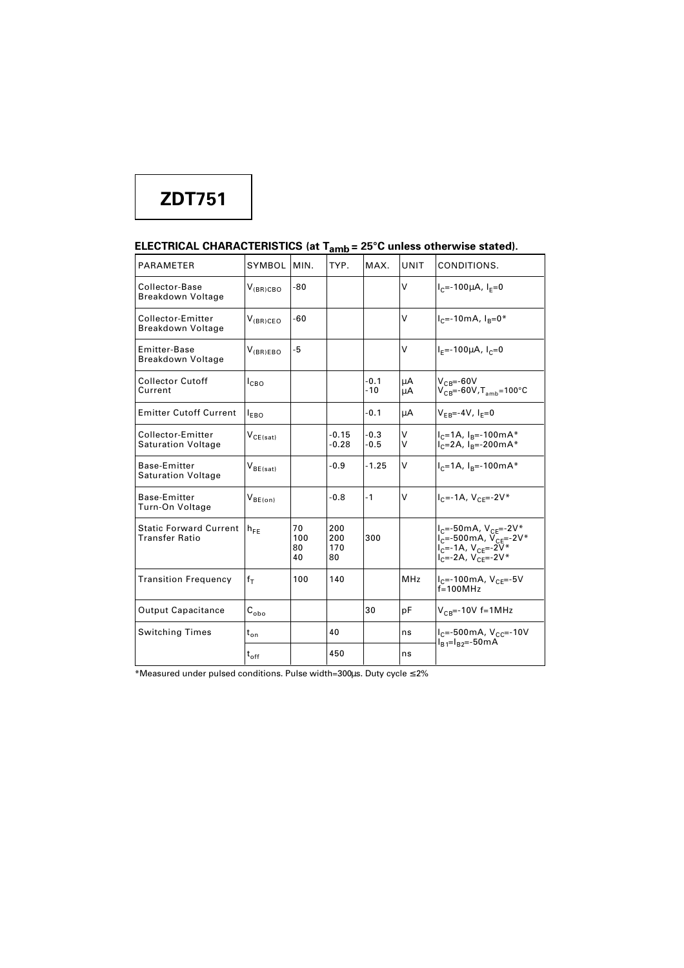# **ZDT751**

## **ELECTRICAL CHARACTERISTICS (at Tamb = 25°C unless otherwise stated).**

| <b>PARAMETER</b>                                       | <b>SYMBOL</b>   | MIN.                  | TYP.                    | MAX.             | <b>UNIT</b> | CONDITIONS.                                                                                                                                          |
|--------------------------------------------------------|-----------------|-----------------------|-------------------------|------------------|-------------|------------------------------------------------------------------------------------------------------------------------------------------------------|
| Collector-Base<br>Breakdown Voltage                    | $V_{(BR)CBO}$   | $-80$                 |                         |                  | V           | $I_{c}$ =-100µA, $I_{F}$ =0                                                                                                                          |
| Collector-Emitter<br>Breakdown Voltage                 | $V_{(BR)CEO}$   | $-60$                 |                         |                  | V           | $I_{C}$ =-10mA, $I_{B}$ =0*                                                                                                                          |
| <b>Emitter-Base</b><br>Breakdown Voltage               | $V_{(BR)EBO}$   | $-5$                  |                         |                  | $\vee$      | $I_F = -100 \mu A$ , $I_C = 0$                                                                                                                       |
| <b>Collector Cutoff</b><br>Current                     | $I_{CBO}$       |                       |                         | $-0.1$<br>$-10$  | μA<br>μA    | $V_{CB} = -60V$<br>$V_{CB} = -60V$ , $T_{amb} = 100°C$                                                                                               |
| <b>Emitter Cutoff Current</b>                          | $I_{EBO}$       |                       |                         | $-0.1$           | μA          | $V_{FB} = -4V$ , $I_{F} = 0$                                                                                                                         |
| Collector-Emitter<br><b>Saturation Voltage</b>         | $V_{CE(sat)}$   |                       | $-0.15$<br>$-0.28$      | $-0.3$<br>$-0.5$ | v<br>v      | $I_C = 1A$ , $I_B = -100mA*$<br>$I_{C} = 2A$ , $I_{B} = -200$ m $A^*$                                                                                |
| <b>Base-Emitter</b><br><b>Saturation Voltage</b>       | $V_{BE(sat)}$   |                       | $-0.9$                  | $-1.25$          | v           | $I_C = 1A$ , $I_B = -100mA*$                                                                                                                         |
| Base-Emitter<br>Turn-On Voltage                        | $V_{BE(on)}$    |                       | -0.8                    | $-1$             | v           | $I_{C} = -1A$ , $V_{CF} = -2V^*$                                                                                                                     |
| <b>Static Forward Current</b><br><b>Transfer Ratio</b> | $h_{FF}$        | 70<br>100<br>80<br>40 | 200<br>200<br>170<br>80 | 300              |             | $I_C = -50mA, V_{CF} = -2V^*$<br>$I_{C} = -500 \text{mA}$ , $V_{CF} = -2V^*$<br>$I_{C} = -1A$ , $V_{CE} = -2V^*$<br>$I_{C} = -2A$ , $V_{CF} = -2V^*$ |
| <b>Transition Frequency</b>                            | $f_T$           | 100                   | 140                     |                  | <b>MHz</b>  | $I_{C}$ =-100mA, $V_{CF}$ =-5V<br>$f=100MHz$                                                                                                         |
| <b>Output Capacitance</b>                              | $C_{\rm obo}$   |                       |                         | 30               | pF          | $V_{CB}$ =-10V f=1MHz                                                                                                                                |
| <b>Switching Times</b>                                 | $t_{\text{on}}$ |                       | 40                      |                  | ns          | $I_c$ =-500mA, $V_{cc}$ =-10V<br>$I_{B1} = I_{B2} = -50$ mA                                                                                          |
|                                                        | $t_{off}$       |                       | 450                     |                  | ns          |                                                                                                                                                      |

\*Measured under pulsed conditions. Pulse width=300µs. Duty cycle ≤ 2%